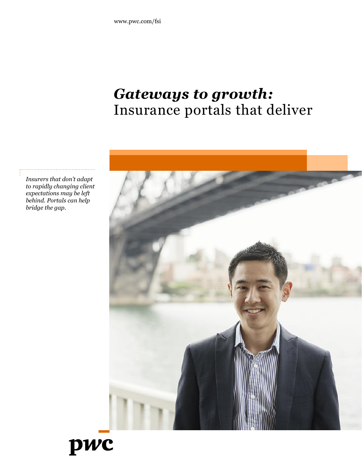## *Gateways to growth:* Insurance portals that deliver



*Insurers that don't adapt to rapidly changing client expectations may be left behind. Portals can help bridge the gap.*

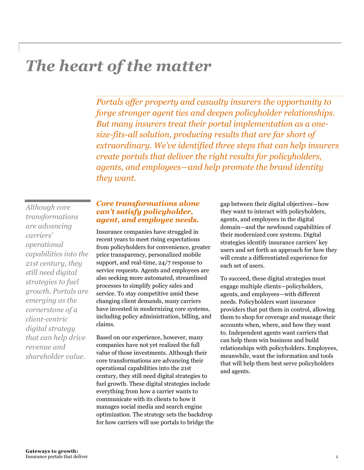# *The heart of the matter*

*Portals offer property and casualty insurers the opportunity to forge stronger agent ties and deepen policyholder relationships. But many insurers treat their portal implementation as a onesize-fits-all solution, producing results that are far short of extraordinary. We've identified three steps that can help insurers create portals that deliver the right results for policyholders, agents, and employees—and help promote the brand identity they want.*

*Although core transformations are advancing carriers' operational capabilities into the 21st century, they still need digital strategies to fuel growth. Portals are emerging as the cornerstone of a client-centric digital strategy that can help drive revenue and shareholder value.*

### *Core transformations alone can't satisfy policyholder, agent, and employee needs.*

Insurance companies have struggled in recent years to meet rising expectations from policyholders for convenience, greater price transparency, personalized mobile support, and real-time, 24/7 response to service requests. Agents and employees are also seeking more automated, streamlined processes to simplify policy sales and service. To stay competitive amid these changing client demands, many carriers have invested in modernizing core systems, including policy administration, billing, and claims.

Based on our experience, however, many companies have not yet realized the full value of those investments. Although their core transformations are advancing their operational capabilities into the 21st century, they still need digital strategies to fuel growth. These digital strategies include everything from how a carrier wants to communicate with its clients to how it manages social media and search engine optimization. The strategy sets the backdrop for how carriers will use portals to bridge the

gap between their digital objectives—how they want to interact with policyholders, agents, and employees in the digital domain—and the newfound capabilities of their modernized core systems. Digital strategies identify insurance carriers' key users and set forth an approach for how they will create a differentiated experience for each set of users.

To succeed, these digital strategies must engage multiple clients—policyholders, agents, and employees—with different needs. Policyholders want insurance providers that put them in control, allowing them to shop for coverage and manage their accounts when, where, and how they want to. Independent agents want carriers that can help them win business and build relationships with policyholders. Employees, meanwhile, want the information and tools that will help them best serve policyholders and agents.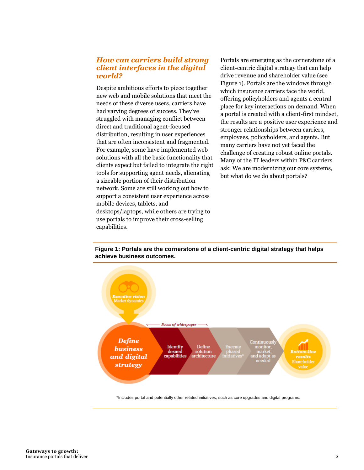## *How can carriers build strong client interfaces in the digital world?*

Despite ambitious efforts to piece together new web and mobile solutions that meet the needs of these diverse users, carriers have had varying degrees of success. They've struggled with managing conflict between direct and traditional agent-focused distribution, resulting in user experiences that are often inconsistent and fragmented. For example, some have implemented web solutions with all the basic functionality that clients expect but failed to integrate the right tools for supporting agent needs, alienating a sizeable portion of their distribution network. Some are still working out how to support a consistent user experience across mobile devices, tablets, and desktops/laptops, while others are trying to use portals to improve their cross-selling capabilities.

Portals are emerging as the cornerstone of a client-centric digital strategy that can help drive revenue and shareholder value (see Figure 1). Portals are the windows through which insurance carriers face the world, offering policyholders and agents a central place for key interactions on demand. When a portal is created with a client-first mindset, the results are a positive user experience and stronger relationships between carriers, employees, policyholders, and agents. But many carriers have not yet faced the challenge of creating robust online portals. Many of the IT leaders within P&C carriers ask: We are modernizing our core systems, but what do we do about portals?

**Figure 1: Portals are the cornerstone of a client-centric digital strategy that helps achieve business outcomes.**



\*Includes portal and potentially other related initiatives, such as core upgrades and digital programs.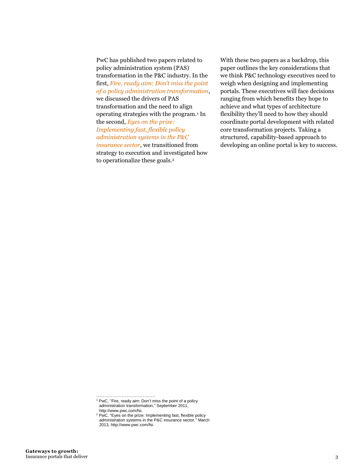PwC has published two papers related to policy administration system (PAS) transformation in the P&C industry. In the first, *[Fire, ready aim: Don't miss the point](http://www.pwc.com/us/en/financial-services/publications/viewpoints/policy-administration-system-transformation.jhtml)  [of a policy administration transformation](http://www.pwc.com/us/en/financial-services/publications/viewpoints/policy-administration-system-transformation.jhtml)*,

we discussed the drivers of PAS transformation and the need to align operating strategies with the program.<sup>1</sup> In the second, *[Eyes on the prize:](http://www.pwc.com/us/en/financial-services/publications/viewpoints/policy-administration-system-transformation-framework.jhtml)  [Implementing fast, flexible policy](http://www.pwc.com/us/en/financial-services/publications/viewpoints/policy-administration-system-transformation-framework.jhtml)  [administration systems in the P&C](http://www.pwc.com/us/en/financial-services/publications/viewpoints/policy-administration-system-transformation-framework.jhtml)  [insurance sector](http://www.pwc.com/us/en/financial-services/publications/viewpoints/policy-administration-system-transformation-framework.jhtml)*, we transitioned from

strategy to execution and investigated how to operationalize these goals.<sup>2</sup>

With these two papers as a backdrop, this paper outlines the key considerations that we think P&C technology executives need to weigh when designing and implementing portals. These executives will face decisions ranging from which benefits they hope to achieve and what types of architecture flexibility they'll need to how they should coordinate portal development with related core transformation projects. Taking a structured, capability-based approach to developing an online portal is key to success.

………………………..…..…

<sup>2</sup> PwC, "Eyes on the prize: Implementing fast, flexible policy administration systems in the P&C insurance sector," March 2013, http://www.pwc.com/fsi.

<sup>1</sup> PwC, "Fire, ready aim: Don't miss the point of a policy administration transformation," September 2011, http://www.pwc.com/fsi.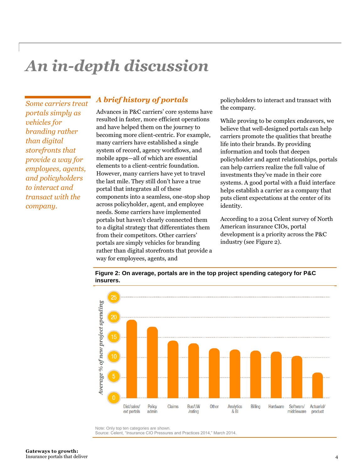# *An in-depth discussion*

*Some carriers treat portals simply as vehicles for branding rather than digital storefronts that provide a way for employees, agents, and policyholders to interact and transact with the company.*

## *A brief history of portals*

Advances in P&C carriers' core systems have resulted in faster, more efficient operations and have helped them on the journey to becoming more client-centric. For example, many carriers have established a single system of record, agency workflows, and mobile apps—all of which are essential elements to a client-centric foundation. However, many carriers have yet to travel the last mile. They still don't have a true portal that integrates all of these components into a seamless, one-stop shop across policyholder, agent, and employee needs. Some carriers have implemented portals but haven't clearly connected them to a digital strategy that differentiates them from their competitors. Other carriers' portals are simply vehicles for branding rather than digital storefronts that provide a way for employees, agents, and

policyholders to interact and transact with the company.

While proving to be complex endeavors, we believe that well-designed portals can help carriers promote the qualities that breathe life into their brands. By providing information and tools that deepen policyholder and agent relationships, portals can help carriers realize the full value of investments they've made in their core systems. A good portal with a fluid interface helps establish a carrier as a company that puts client expectations at the center of its identity.

According to a 2014 Celent survey of North American insurance CIOs, portal development is a priority across the P&C industry (see Figure 2).



**Figure 2: On average, portals are in the top project spending category for P&C insurers.**

Note: Only top ten categories are shown.

Source: Celent, "Insurance CIO Pressures and Practices 2014," March 2014.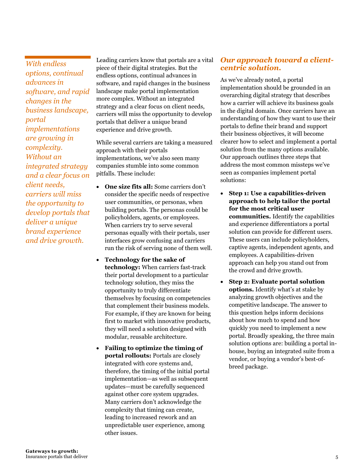*With endless options, continual advances in software, and rapid changes in the business landscape, portal implementations are growing in complexity. Without an integrated strategy and a clear focus on client needs, carriers will miss the opportunity to develop portals that deliver a unique brand experience and drive growth.*

Leading carriers know that portals are a vital piece of their digital strategies. But the endless options, continual advances in software, and rapid changes in the business landscape make portal implementation more complex. Without an integrated strategy and a clear focus on client needs, carriers will miss the opportunity to develop portals that deliver a unique brand experience and drive growth.

While several carriers are taking a measured approach with their portals implementations, we've also seen many companies stumble into some common pitfalls. These include:

- **One size fits all:** Some carriers don't consider the specific needs of respective user communities, or personas, when building portals. The personas could be policyholders, agents, or employees. When carriers try to serve several personas equally with their portals, user interfaces grow confusing and carriers run the risk of serving none of them well.
- **Technology for the sake of technology:** When carriers fast-track their portal development to a particular technology solution, they miss the opportunity to truly differentiate themselves by focusing on competencies that complement their business models. For example, if they are known for being first to market with innovative products, they will need a solution designed with modular, reusable architecture.
- **Failing to optimize the timing of portal rollouts:** Portals are closely integrated with core systems and, therefore, the timing of the initial portal implementation—as well as subsequent updates—must be carefully sequenced against other core system upgrades. Many carriers don't acknowledge the complexity that timing can create, leading to increased rework and an unpredictable user experience, among other issues.

## *Our approach toward a clientcentric solution.*

As we've already noted, a portal implementation should be grounded in an overarching digital strategy that describes how a carrier will achieve its business goals in the digital domain. Once carriers have an understanding of how they want to use their portals to define their brand and support their business objectives, it will become clearer how to select and implement a portal solution from the many options available. Our approach outlines three steps that address the most common missteps we've seen as companies implement portal solutions:

- **Step 1: Use a capabilities-driven approach to help tailor the portal for the most critical user communities.** Identify the capabilities and experience differentiators a portal solution can provide for different users. These users can include policyholders, captive agents, independent agents, and employees. A capabilities-driven approach can help you stand out from the crowd and drive growth.
- **Step 2: Evaluate portal solution options.** Identify what's at stake by analyzing growth objectives and the competitive landscape. The answer to this question helps inform decisions about how much to spend and how quickly you need to implement a new portal. Broadly speaking, the three main solution options are: building a portal inhouse, buying an integrated suite from a vendor, or buying a vendor's best-ofbreed package.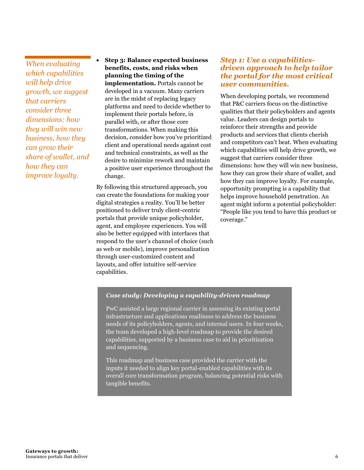*When evaluating which capabilities will help drive growth, we suggest that carriers consider three dimensions: how they will win new business, how they can grow their share of wallet, and how they can improve loyalty.*

 **Step 3: Balance expected business benefits, costs, and risks when planning the timing of the implementation.** Portals cannot be developed in a vacuum. Many carriers are in the midst of replacing legacy platforms and need to decide whether to implement their portals before, in parallel with, or after those core transformations. When making this decision, consider how you've prioritized client and operational needs against cost and technical constraints, as well as the desire to minimize rework and maintain a positive user experience throughout the change.

By following this structured approach, you can create the foundations for making your digital strategies a reality. You'll be better positioned to deliver truly client-centric portals that provide unique policyholder, agent, and employee experiences. You will also be better equipped with interfaces that respond to the user's channel of choice (such as web or mobile), improve personalization through user-customized content and layouts, and offer intuitive self-service capabilities.

## *Step 1: Use a capabilitiesdriven approach to help tailor the portal for the most critical user communities.*

When developing portals, we recommend that P&C carriers focus on the distinctive qualities that their policyholders and agents value. Leaders can design portals to reinforce their strengths and provide products and services that clients cherish and competitors can't beat. When evaluating which capabilities will help drive growth, we suggest that carriers consider three dimensions: how they will win new business, how they can grow their share of wallet, and how they can improve loyalty. For example, opportunity prompting is a capability that helps improve household penetration. An agent might inform a potential policyholder: "People like you tend to have this product or coverage."

#### *Case study: Developing a capability-driven roadmap*

PwC assisted a large regional carrier in assessing its existing portal infrastructure and applications readiness to address the business needs of its policyholders, agents, and internal users. In four weeks, the team developed a high-level roadmap to provide the desired capabilities, supported by a business case to aid in prioritization and sequencing.

This roadmap and business case provided the carrier with the inputs it needed to align key portal-enabled capabilities with its overall core transformation program, balancing potential risks with tangible benefits.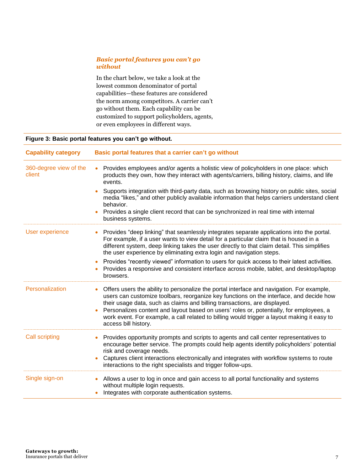#### *Basic portal features you can't go without*

In the chart below, we take a look at the lowest common denominator of portal capabilities—these features are considered the norm among competitors. A carrier can't go without them. Each capability can be customized to support policyholders, agents, or even employees in different ways.

#### **Figure 3: Basic portal features you can't go without.**

| <b>Capability category</b>       | Basic portal features that a carrier can't go without                                                                                                                                                                                                                                                                                                                                                                                                                               |  |
|----------------------------------|-------------------------------------------------------------------------------------------------------------------------------------------------------------------------------------------------------------------------------------------------------------------------------------------------------------------------------------------------------------------------------------------------------------------------------------------------------------------------------------|--|
| 360-degree view of the<br>client | Provides employees and/or agents a holistic view of policyholders in one place: which<br>$\bullet$<br>products they own, how they interact with agents/carriers, billing history, claims, and life<br>events.                                                                                                                                                                                                                                                                       |  |
|                                  | Supports integration with third-party data, such as browsing history on public sites, social<br>media "likes," and other publicly available information that helps carriers understand client<br>behavior.<br>Provides a single client record that can be synchronized in real time with internal                                                                                                                                                                                   |  |
|                                  | business systems.                                                                                                                                                                                                                                                                                                                                                                                                                                                                   |  |
| <b>User experience</b>           | Provides "deep linking" that seamlessly integrates separate applications into the portal.<br>For example, if a user wants to view detail for a particular claim that is housed in a<br>different system, deep linking takes the user directly to that claim detail. This simplifies<br>the user experience by eliminating extra login and navigation steps.                                                                                                                         |  |
|                                  | Provides "recently viewed" information to users for quick access to their latest activities.<br>Provides a responsive and consistent interface across mobile, tablet, and desktop/laptop<br>browsers.                                                                                                                                                                                                                                                                               |  |
| Personalization                  | Offers users the ability to personalize the portal interface and navigation. For example,<br>users can customize toolbars, reorganize key functions on the interface, and decide how<br>their usage data, such as claims and billing transactions, are displayed.<br>Personalizes content and layout based on users' roles or, potentially, for employees, a<br>work event. For example, a call related to billing would trigger a layout making it easy to<br>access bill history. |  |
| <b>Call scripting</b>            | Provides opportunity prompts and scripts to agents and call center representatives to<br>encourage better service. The prompts could help agents identify policyholders' potential<br>risk and coverage needs.<br>Captures client interactions electronically and integrates with workflow systems to route<br>interactions to the right specialists and trigger follow-ups.                                                                                                        |  |
| Single sign-on                   | Allows a user to log in once and gain access to all portal functionality and systems<br>without multiple login requests.<br>Integrates with corporate authentication systems.                                                                                                                                                                                                                                                                                                       |  |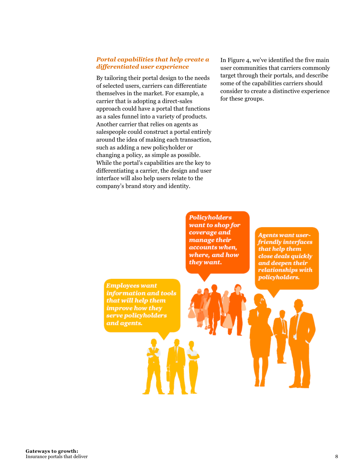#### *Portal capabilities that help create a differentiated user experience*

By tailoring their portal design to the needs of selected users, carriers can differentiate themselves in the market. For example, a carrier that is adopting a direct-sales approach could have a portal that functions as a sales funnel into a variety of products. Another carrier that relies on agents as salespeople could construct a portal entirely around the idea of making each transaction, such as adding a new policyholder or changing a policy, as simple as possible. While the portal's capabilities are the key to differentiating a carrier, the design and user interface will also help users relate to the company's brand story and identity.

In Figure 4, we've identified the five main user communities that carriers commonly target through their portals, and describe some of the capabilities carriers should consider to create a distinctive experience for these groups.

**Policyholders** want to shop for coverage and manage their accounts when, where, and how they want.

**Employees want** information and tools that will help them improve how they serve policyholders and agents.

**Agents want user**friendly interfaces that help them close deals quickly and deepen their relationships with policyholders.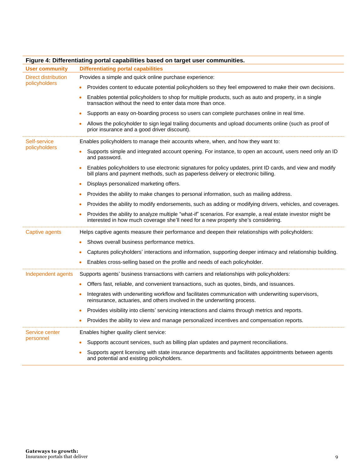| rigure 4. Dhrefentiating portal capabilities based on target user communities. |                                                                                                                                                                                                 |  |  |  |  |
|--------------------------------------------------------------------------------|-------------------------------------------------------------------------------------------------------------------------------------------------------------------------------------------------|--|--|--|--|
| <b>User community</b>                                                          | <b>Differentiating portal capabilities</b>                                                                                                                                                      |  |  |  |  |
| <b>Direct distribution</b><br>policyholders                                    | Provides a simple and quick online purchase experience:                                                                                                                                         |  |  |  |  |
|                                                                                | Provides content to educate potential policyholders so they feel empowered to make their own decisions.                                                                                         |  |  |  |  |
|                                                                                | Enables potential policyholders to shop for multiple products, such as auto and property, in a single<br>transaction without the need to enter data more than once.                             |  |  |  |  |
|                                                                                | Supports an easy on-boarding process so users can complete purchases online in real time.                                                                                                       |  |  |  |  |
|                                                                                | Allows the policyholder to sign legal trailing documents and upload documents online (such as proof of<br>prior insurance and a good driver discount).                                          |  |  |  |  |
| Self-service<br>policyholders                                                  | Enables policyholders to manage their accounts where, when, and how they want to:                                                                                                               |  |  |  |  |
|                                                                                | Supports simple and integrated account opening. For instance, to open an account, users need only an ID<br>and password.                                                                        |  |  |  |  |
|                                                                                | Enables policyholders to use electronic signatures for policy updates, print ID cards, and view and modify<br>bill plans and payment methods, such as paperless delivery or electronic billing. |  |  |  |  |
|                                                                                | Displays personalized marketing offers.                                                                                                                                                         |  |  |  |  |
|                                                                                | Provides the ability to make changes to personal information, such as mailing address.                                                                                                          |  |  |  |  |
|                                                                                | Provides the ability to modify endorsements, such as adding or modifying drivers, vehicles, and coverages.                                                                                      |  |  |  |  |
|                                                                                | Provides the ability to analyze multiple "what-if" scenarios. For example, a real estate investor might be<br>interested in how much coverage she'll need for a new property she's considering. |  |  |  |  |
| Captive agents                                                                 | Helps captive agents measure their performance and deepen their relationships with policyholders:                                                                                               |  |  |  |  |
|                                                                                | Shows overall business performance metrics.                                                                                                                                                     |  |  |  |  |
|                                                                                | Captures policyholders' interactions and information, supporting deeper intimacy and relationship building.                                                                                     |  |  |  |  |
|                                                                                | Enables cross-selling based on the profile and needs of each policyholder.                                                                                                                      |  |  |  |  |
| Independent agents                                                             | Supports agents' business transactions with carriers and relationships with policyholders:                                                                                                      |  |  |  |  |
|                                                                                | Offers fast, reliable, and convenient transactions, such as quotes, binds, and issuances.                                                                                                       |  |  |  |  |
|                                                                                | Integrates with underwriting workflow and facilitates communication with underwriting supervisors,<br>reinsurance, actuaries, and others involved in the underwriting process.                  |  |  |  |  |
|                                                                                | Provides visibility into clients' servicing interactions and claims through metrics and reports.                                                                                                |  |  |  |  |
|                                                                                | Provides the ability to view and manage personalized incentives and compensation reports.                                                                                                       |  |  |  |  |
| Service center                                                                 | Enables higher quality client service:                                                                                                                                                          |  |  |  |  |
| personnel                                                                      | Supports account services, such as billing plan updates and payment reconciliations.                                                                                                            |  |  |  |  |
|                                                                                | Supports agent licensing with state insurance departments and facilitates appointments between agents<br>and potential and existing policyholders.                                              |  |  |  |  |

### **Figure 4: Differentiating portal capabilities based on target user communities.**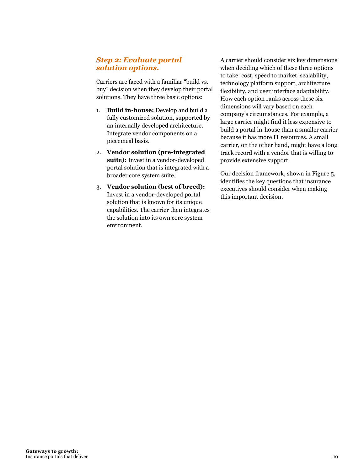## *Step 2: Evaluate portal solution options.*

Carriers are faced with a familiar "build vs. buy" decision when they develop their portal solutions. They have three basic options:

- 1. **Build in-house:** Develop and build a fully customized solution, supported by an internally developed architecture. Integrate vendor components on a piecemeal basis.
- 2. **Vendor solution (pre-integrated suite):** Invest in a vendor-developed portal solution that is integrated with a broader core system suite.
- 3. **Vendor solution (best of breed):** Invest in a vendor-developed portal solution that is known for its unique capabilities. The carrier then integrates the solution into its own core system environment.

A carrier should consider six key dimensions when deciding which of these three options to take: cost, speed to market, scalability, technology platform support, architecture flexibility, and user interface adaptability. How each option ranks across these six dimensions will vary based on each company's circumstances. For example, a large carrier might find it less expensive to build a portal in-house than a smaller carrier because it has more IT resources. A small carrier, on the other hand, might have a long track record with a vendor that is willing to provide extensive support.

Our decision framework, shown in Figure 5, identifies the key questions that insurance executives should consider when making this important decision.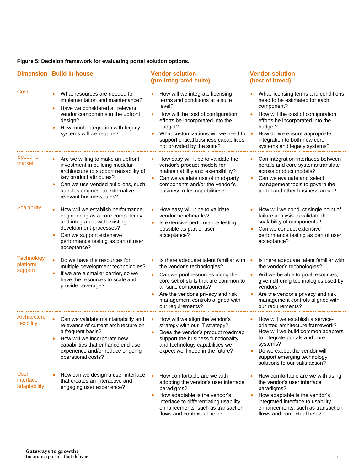|                                          | <b>Dimension Build in-house</b>                                                                                                                                                                                                               | <b>Vendor solution</b>                                                                                                                                                                                                                                                                                     | <b>Vendor solution</b>                                                                                                                                                                                                                                                 |
|------------------------------------------|-----------------------------------------------------------------------------------------------------------------------------------------------------------------------------------------------------------------------------------------------|------------------------------------------------------------------------------------------------------------------------------------------------------------------------------------------------------------------------------------------------------------------------------------------------------------|------------------------------------------------------------------------------------------------------------------------------------------------------------------------------------------------------------------------------------------------------------------------|
|                                          |                                                                                                                                                                                                                                               | (pre-integrated suite)                                                                                                                                                                                                                                                                                     | (best of breed)                                                                                                                                                                                                                                                        |
| Cost                                     | What resources are needed for<br>implementation and maintenance?<br>Have we considered all relevant<br>vendor components in the upfront<br>design?<br>How much integration with legacy<br>systems will we require?                            | How will we integrate licensing<br>terms and conditions at a suite<br>level?<br>How will the cost of configuration<br>$\bullet$<br>efforts be incorporated into the<br>budget?<br>What customizations will we need to<br>$\bullet$<br>support critical business capabilities<br>not provided by the suite? | What licensing terms and conditions<br>need to be estimated for each<br>component?<br>How will the cost of configuration<br>efforts be incorporated into the<br>budget?<br>How do we ensure appropriate<br>integration to both new core<br>systems and legacy systems? |
| Speed to<br>market                       | Are we willing to make an upfront<br>investment in building modular<br>architecture to support reusability of<br>key product attributes?<br>Can we use vended build-ons, such<br>as rules engines, to externalize<br>relevant business rules? | How easy will it be to validate the<br>vendor's product models for<br>maintainability and extensibility?<br>Can we validate use of third-party<br>$\bullet$<br>components and/or the vendor's<br>business rules capabilities?                                                                              | Can integration interfaces between<br>portals and core systems translate<br>across product models?<br>Can we evaluate and select<br>management tools to govern the<br>portal and other business areas?                                                                 |
| Scalability                              | How will we establish performance<br>engineering as a core competency<br>and integrate it with existing<br>development processes?<br>Can we support extensive<br>performance testing as part of user<br>acceptance?                           | How easy will it be to validate<br>vendor benchmarks?<br>Is extensive performance testing<br>$\bullet$<br>possible as part of user<br>acceptance?                                                                                                                                                          | How will we conduct single point of<br>failure analysis to validate the<br>scalability of components?<br>Can we conduct extensive<br>performance testing as part of user<br>acceptance?                                                                                |
| Technology<br>platform<br>support        | Do we have the resources for<br>multiple development technologies?<br>If we are a smaller carrier, do we<br>have the resources to scale and<br>provide coverage?                                                                              | Is there adequate talent familiar with $\bullet$<br>٠<br>the vendor's technologies?<br>Can we pool resources along the<br>core set of skills that are common to<br>all suite components?<br>Are the vendor's privacy and risk<br>$\bullet$<br>management controls aligned with<br>our requirements?        | Is there adequate talent familiar with<br>the vendor's technologies?<br>Will we be able to pool resources,<br>given differing technologies used by<br>vendors?<br>Are the vendor's privacy and risk<br>management controls aligned with<br>our requirements?           |
| Architecture<br>flexibility              | Can we validate maintainability and<br>relevance of current architecture on<br>a frequent basis?<br>How will we incorporate new<br>capabilities that enhance end-user<br>experience and/or reduce ongoing<br>operational costs?               | How will we align the vendor's<br>strategy with our IT strategy?<br>Does the vendor's product roadmap<br>support the business functionality<br>and technology capabilities we<br>expect we'll need in the future?                                                                                          | How will we establish a service-<br>oriented architecture framework?<br>How will we build common adapters<br>to integrate portals and core<br>systems?<br>Do we expect the vendor will<br>support emerging technology<br>solutions to our satisfaction?                |
| <b>User</b><br>interface<br>adaptability | How can we design a user interface<br>that creates an interactive and<br>engaging user experience?                                                                                                                                            | How comfortable are we with<br>adopting the vendor's user interface<br>paradigms?<br>How adaptable is the vendor's<br>interface to differentiating usability<br>enhancements, such as transaction<br>flows and contextual help?                                                                            | How comfortable are we with using<br>the vendor's user interface<br>paradigms?<br>How adaptable is the vendor's<br>integrated interface to usability<br>enhancements, such as transaction<br>flows and contextual help?                                                |

#### **Figure 5: Decision framework for evaluating portal solution options.**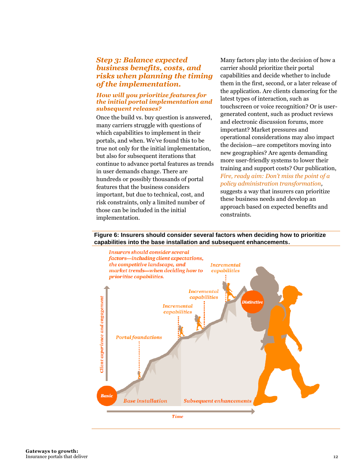## *Step 3: Balance expected business benefits, costs, and risks when planning the timing of the implementation.*

#### *How will you prioritize features for the initial portal implementation and subsequent releases?*

Once the build vs. buy question is answered, many carriers struggle with questions of which capabilities to implement in their portals, and when. We've found this to be true not only for the initial implementation, but also for subsequent iterations that continue to advance portal features as trends in user demands change. There are hundreds or possibly thousands of portal features that the business considers important, but due to technical, cost, and risk constraints, only a limited number of those can be included in the initial implementation.

Many factors play into the decision of how a carrier should prioritize their portal capabilities and decide whether to include them in the first, second, or a later release of the application. Are clients clamoring for the latest types of interaction, such as touchscreen or voice recognition? Or is usergenerated content, such as product reviews and electronic discussion forums, more important? Market pressures and operational considerations may also impact the decision—are competitors moving into new geographies? Are agents demanding more user-friendly systems to lower their training and support costs? Our publication, *Fire, ready aim: Don'[t miss the point of a](http://www.pwc.com/us/en/financial-services/publications/viewpoints/policy-administration-system-transformation.jhtml)  [policy administration transformation,](http://www.pwc.com/us/en/financial-services/publications/viewpoints/policy-administration-system-transformation.jhtml)* suggests a way that insurers can prioritize these business needs and develop an approach based on expected benefits and constraints.

#### **Figure 6: Insurers should consider several factors when deciding how to prioritize capabilities into the base installation and subsequent enhancements.**



**Gateways to growth:**  Insurance portals that deliver the control of the control of the control of the control of the control of the control of the control of the control of the control of the control of the control of the control of the control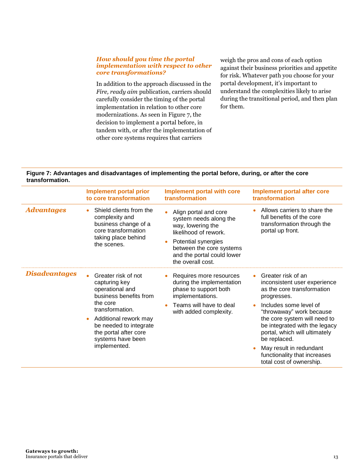#### *How should you time the portal implementation with respect to other core transformations?*

In addition to the approach discussed in the *Fire, ready aim* publication, carriers should carefully consider the timing of the portal implementation in relation to other core modernizations. As seen in Figure 7, the decision to implement a portal before, in tandem with, or after the implementation of other core systems requires that carriers

weigh the pros and cons of each option against their business priorities and appetite for risk. Whatever path you choose for your portal development, it's important to understand the complexities likely to arise during the transitional period, and then plan for them.

#### **Figure 7: Advantages and disadvantages of implementing the portal before, during, or after the core transformation.**

|                      | <b>Implement portal prior</b><br>to core transformation                                                                                                                                                                                        | <b>Implement portal with core</b><br>transformation                                                                                                                                                 | <b>Implement portal after core</b><br>transformation                                                                                                                                                                                                                                                                                                                        |
|----------------------|------------------------------------------------------------------------------------------------------------------------------------------------------------------------------------------------------------------------------------------------|-----------------------------------------------------------------------------------------------------------------------------------------------------------------------------------------------------|-----------------------------------------------------------------------------------------------------------------------------------------------------------------------------------------------------------------------------------------------------------------------------------------------------------------------------------------------------------------------------|
| Advantages           | Shield clients from the<br>complexity and<br>business change of a<br>core transformation<br>taking place behind<br>the scenes.                                                                                                                 | Align portal and core<br>system needs along the<br>way, lowering the<br>likelihood of rework.<br>Potential synergies<br>between the core systems<br>and the portal could lower<br>the overall cost. | Allows carriers to share the<br>full benefits of the core<br>transformation through the<br>portal up front.                                                                                                                                                                                                                                                                 |
| <b>Disadvantages</b> | Greater risk of not<br>capturing key<br>operational and<br>business benefits from<br>the core<br>transformation.<br>Additional rework may<br>$\bullet$<br>be needed to integrate<br>the portal after core<br>systems have been<br>implemented. | Requires more resources<br>during the implementation<br>phase to support both<br>implementations.<br>Teams will have to deal<br>with added complexity.                                              | Greater risk of an<br>inconsistent user experience<br>as the core transformation<br>progresses.<br>Includes some level of<br>$\bullet$<br>"throwaway" work because<br>the core system will need to<br>be integrated with the legacy<br>portal, which will ultimately<br>be replaced.<br>May result in redundant<br>functionality that increases<br>total cost of ownership. |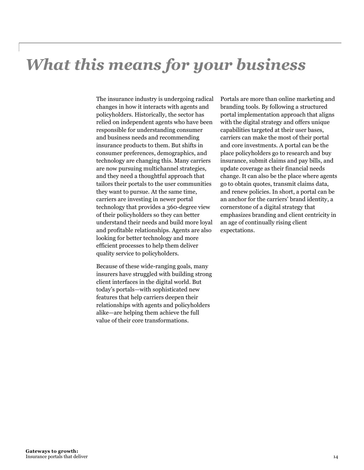# *What this means for your business*

The insurance industry is undergoing radical changes in how it interacts with agents and policyholders. Historically, the sector has relied on independent agents who have been responsible for understanding consumer and business needs and recommending insurance products to them. But shifts in consumer preferences, demographics, and technology are changing this. Many carriers are now pursuing multichannel strategies, and they need a thoughtful approach that tailors their portals to the user communities they want to pursue. At the same time, carriers are investing in newer portal technology that provides a 360-degree view of their policyholders so they can better understand their needs and build more loyal and profitable relationships. Agents are also looking for better technology and more efficient processes to help them deliver quality service to policyholders.

Because of these wide-ranging goals, many insurers have struggled with building strong client interfaces in the digital world. But today's portals—with sophisticated new features that help carriers deepen their relationships with agents and policyholders alike—are helping them achieve the full value of their core transformations.

Portals are more than online marketing and branding tools. By following a structured portal implementation approach that aligns with the digital strategy and offers unique capabilities targeted at their user bases, carriers can make the most of their portal and core investments. A portal can be the place policyholders go to research and buy insurance, submit claims and pay bills, and update coverage as their financial needs change. It can also be the place where agents go to obtain quotes, transmit claims data, and renew policies. In short, a portal can be an anchor for the carriers' brand identity, a cornerstone of a digital strategy that emphasizes branding and client centricity in an age of continually rising client expectations.